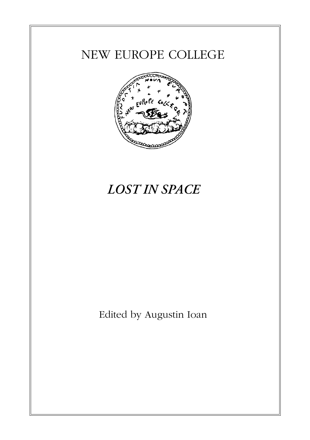## NEW EUROPE COLLEGE



# *LOST IN SPACE*

Edited by Augustin Ioan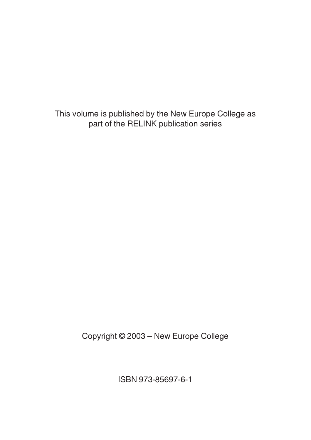This volume is published by the New Europe College as part of the RELINK publication series

Copyright © 2003 – New Europe College

ISBN 973-85697-6-1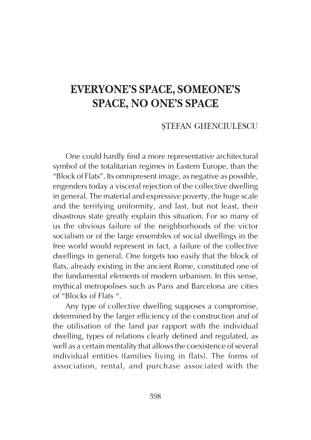## EVERYONE'S SPACE, SOMEONE'S SPACE, NO ONE'S SPACE

## STEFAN GHENCIULESCU

One could hardly find a more representative architectural symbol of the totalitarian regimes in Eastern Europe, than the "Block of Flats". Its omnipresent image, as negative as possible, engenders today a visceral rejection of the collective dwelling in general. The material and expressive poverty, the huge scale and the terrifying uniformity, and last, but not least, their disastrous state greatly explain this situation. For so many of us the obvious failure of the neighborhoods of the victor socialism or of the large ensembles of social dwellings in the free world would represent in fact, a failure of the collective dwellings in general. One forgets too easily that the block of flats, already existing in the ancient Rome, constituted one of the fundamental elements of modern urbanism. In this sense, mythical metropolises such as Paris and Barcelona are cities of "Blocks of Flats ".

Any type of collective dwelling supposes a compromise, determined by the larger efficiency of the construction and of the utilisation of the land par rapport with the individual dwelling, types of relations clearly defined and regulated, as well as a certain mentality that allows the coexistence of several individual entities (families living in flats). The forms of association, rental, and purchase associated with the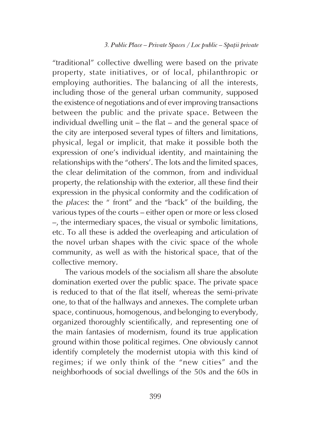"traditional" collective dwelling were based on the private property, state initiatives, or of local, philanthropic or employing authorities. The balancing of all the interests, including those of the general urban community, supposed the existence of negotiations and of ever improving transactions between the public and the private space. Between the individual dwelling unit – the flat – and the general space of the city are interposed several types of filters and limitations, physical, legal or implicit, that make it possible both the expression of one's individual identity, and maintaining the relationships with the "others'. The lots and the limited spaces, the clear delimitation of the common, from and individual property, the relationship with the exterior, all these find their expression in the physical conformity and the codification of the places: the " front" and the "back" of the building, the various types of the courts – either open or more or less closed –, the intermediary spaces, the visual or symbolic limitations, etc. To all these is added the overleaping and articulation of the novel urban shapes with the civic space of the whole community, as well as with the historical space, that of the collective memory.

The various models of the socialism all share the absolute domination exerted over the public space. The private space is reduced to that of the flat itself, whereas the semi-private one, to that of the hallways and annexes. The complete urban space, continuous, homogenous, and belonging to everybody, organized thoroughly scientifically, and representing one of the main fantasies of modernism, found its true application ground within those political regimes. One obviously cannot identify completely the modernist utopia with this kind of regimes; if we only think of the "new cities" and the neighborhoods of social dwellings of the 50s and the 60s in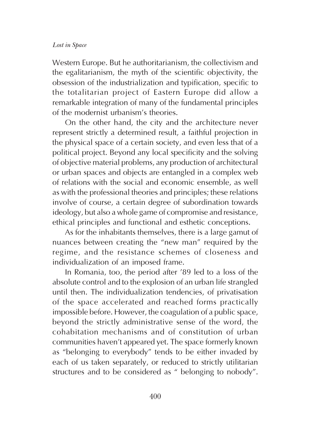Western Europe. But he authoritarianism, the collectivism and the egalitarianism, the myth of the scientific objectivity, the obsession of the industrialization and typification, specific to the totalitarian project of Eastern Europe did allow a remarkable integration of many of the fundamental principles of the modernist urbanism's theories.

On the other hand, the city and the architecture never represent strictly a determined result, a faithful projection in the physical space of a certain society, and even less that of a political project. Beyond any local specificity and the solving of objective material problems, any production of architectural or urban spaces and objects are entangled in a complex web of relations with the social and economic ensemble, as well as with the professional theories and principles; these relations involve of course, a certain degree of subordination towards ideology, but also a whole game of compromise and resistance, ethical principles and functional and esthetic conceptions.

As for the inhabitants themselves, there is a large gamut of nuances between creating the "new man" required by the regime, and the resistance schemes of closeness and individualization of an imposed frame.

In Romania, too, the period after '89 led to a loss of the absolute control and to the explosion of an urban life strangled until then. The individualization tendencies, of privatisation of the space accelerated and reached forms practically impossible before. However, the coagulation of a public space, beyond the strictly administrative sense of the word, the cohabitation mechanisms and of constitution of urban communities haven't appeared yet. The space formerly known as "belonging to everybody" tends to be either invaded by each of us taken separately, or reduced to strictly utilitarian structures and to be considered as " belonging to nobody".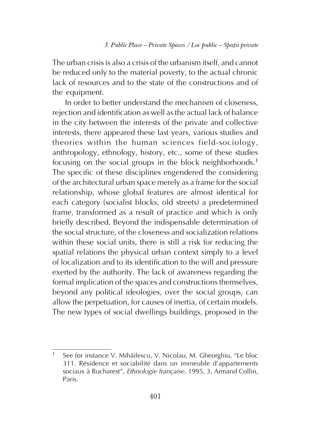The urban crisis is also a crisis of the urbanism itself, and cannot be reduced only to the material poverty, to the actual chronic lack of resources and to the state of the constructions and of the equipment.

In order to better understand the mechanism of closeness, rejection and identification as well as the actual lack of balance in the city between the interests of the private and collective interests, there appeared these last years, various studies and theories within the human sciences field-sociology, anthropology, ethnology, history, etc., some of these studies focusing on the social groups in the block neighborhoods.<sup>1</sup> The specific of these disciplines engendered the considering of the architectural urban space merely as a frame for the social relationship, whose global features are almost identical for each category (socialist blocks, old streets) a predetermined frame, transformed as a result of practice and which is only briefly described. Beyond the indispensable determination of the social structure, of the closeness and socialization relations within these social units, there is still a risk for reducing the spatial relations the physical urban context simply to a level of localization and to its identification to the will and pressure exerted by the authority. The lack of awareness regarding the formal implication of the spaces and constructions themselves, beyond any political ideologies, over the social groups, can allow the perpetuation, for causes of inertia, of certain models. The new types of social dwellings buildings, proposed in the

<sup>1</sup> See for instance V. Mihãilescu, V. Nicolau, M. Gheorghiu, "Le bloc 311. Résidence et sociabilité dans un immeuble d'appartements sociaux à Bucharest", *Ethnologie française*, 1995, 3, Armand Collin, Paris.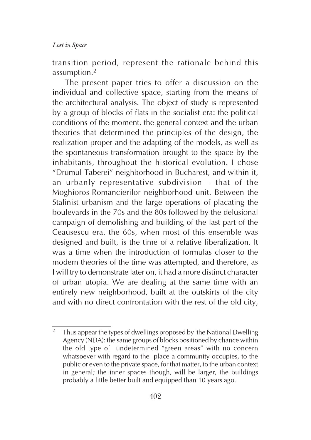transition period, represent the rationale behind this assumption.<sup>2</sup>

The present paper tries to offer a discussion on the individual and collective space, starting from the means of the architectural analysis. The object of study is represented by a group of blocks of flats in the socialist era: the political conditions of the moment, the general context and the urban theories that determined the principles of the design, the realization proper and the adapting of the models, as well as the spontaneous transformation brought to the space by the inhabitants, throughout the historical evolution. I chose "Drumul Taberei" neighborhood in Bucharest, and within it, an urbanly representative subdivision – that of the Moghioros-Romancierilor neighborhood unit. Between the Stalinist urbanism and the large operations of placating the boulevards in the 70s and the 80s followed by the delusional campaign of demolishing and building of the last part of the Ceausescu era, the 60s, when most of this ensemble was designed and built, is the time of a relative liberalization. It was a time when the introduction of formulas closer to the modern theories of the time was attempted, and therefore, as I will try to demonstrate later on, it had a more distinct character of urban utopia. We are dealing at the same time with an entirely new neighborhood, built at the outskirts of the city and with no direct confrontation with the rest of the old city,

<sup>&</sup>lt;sup>2</sup> Thus appear the types of dwellings proposed by the National Dwelling Agency (NDA): the same groups of blocks positioned by chance within the old type of undetermined "green areas" with no concern whatsoever with regard to the place a community occupies, to the public or even to the private space, for that matter, to the urban context in general; the inner spaces though, will be larger, the buildings probably a little better built and equipped than 10 years ago.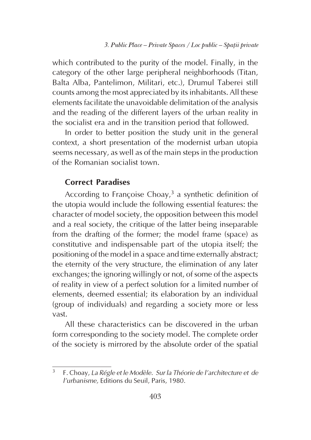which contributed to the purity of the model. Finally, in the category of the other large peripheral neighborhoods (Titan, Balta Alba, Pantelimon, Militari, etc.), Drumul Taberei still counts among the most appreciated by its inhabitants. All these elements facilitate the unavoidable delimitation of the analysis and the reading of the different layers of the urban reality in the socialist era and in the transition period that followed.

In order to better position the study unit in the general context, a short presentation of the modernist urban utopia seems necessary, as well as of the main steps in the production of the Romanian socialist town.

## Correct Paradises

According to Françoise Choay, $3$  a synthetic definition of the utopia would include the following essential features: the character of model society, the opposition between this model and a real society, the critique of the latter being inseparable from the drafting of the former; the model frame (space) as constitutive and indispensable part of the utopia itself; the positioning of the model in a space and time externally abstract; the eternity of the very structure, the elimination of any later exchanges; the ignoring willingly or not, of some of the aspects of reality in view of a perfect solution for a limited number of elements, deemed essential; its elaboration by an individual (group of individuals) and regarding a society more or less vast.

All these characteristics can be discovered in the urban form corresponding to the society model. The complete order of the society is mirrored by the absolute order of the spatial

<sup>3</sup> F. Choay, La Régle et le Modèle. Sur la Théorie de l'architecture et de l'urbanisme, Editions du Seuil, Paris, 1980.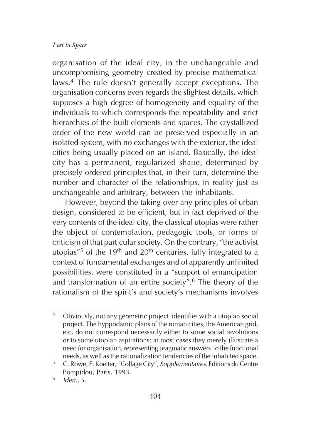organisation of the ideal city, in the unchangeable and uncompromising geometry created by precise mathematical laws.4 The rule doesn't generally accept exceptions. The organisation concerns even regards the slightest details, which supposes a high degree of homogeneity and equality of the individuals to which corresponds the repeatability and strict hierarchies of the built elements and spaces. The crystallized order of the new world can be preserved especially in an isolated system, with no exchanges with the exterior, the ideal cities being usually placed on an island. Basically, the ideal city has a permanent, regularized shape, determined by precisely ordered principles that, in their turn, determine the number and character of the relationships, in reality just as unchangeable and arbitrary, between the inhabitants.

However, beyond the taking over any principles of urban design, considered to be efficient, but in fact deprived of the very contents of the ideal city, the classical utopias were rather the object of contemplation, pedagogic tools, or forms of criticism of that particular society. On the contrary, "the activist utopias<sup> $75$ </sup> of the 19<sup>th</sup> and 20<sup>th</sup> centuries, fully integrated to a context of fundamental exchanges and of apparently unlimited possibilities, were constituted in a "support of emancipation and transformation of an entire society".6 The theory of the rationalism of the spirit's and society's mechanisms involves

<sup>4</sup> Obviously, not any geometric project identifies with a utopian social project. The hyppodamic plans of the roman cities, the American grid, etc. do not correspond necessarily either to some social revolutions or to some utopian aspirations: in most cases they merely illustrate a need for organisation, representing pragmatic answers to the functional needs, as well as the rationalization tendencies of the inhabited space.

<sup>&</sup>lt;sup>5</sup> C. Rowe, F. Koetter, "Collage City", Supplémentaires, Editions du Centre Pompidou, Paris, 1993.

 $6$  Idem, 5.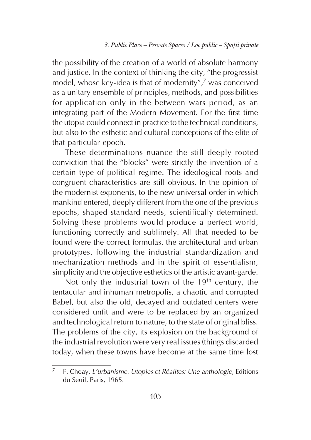the possibility of the creation of a world of absolute harmony and justice. In the context of thinking the city, "the progressist model, whose key-idea is that of modernity",7 was conceived as a unitary ensemble of principles, methods, and possibilities for application only in the between wars period, as an integrating part of the Modern Movement. For the first time the utopia could connect in practice to the technical conditions, but also to the esthetic and cultural conceptions of the elite of that particular epoch.

These determinations nuance the still deeply rooted conviction that the "blocks" were strictly the invention of a certain type of political regime. The ideological roots and congruent characteristics are still obvious. In the opinion of the modernist exponents, to the new universal order in which mankind entered, deeply different from the one of the previous epochs, shaped standard needs, scientifically determined. Solving these problems would produce a perfect world, functioning correctly and sublimely. All that needed to be found were the correct formulas, the architectural and urban prototypes, following the industrial standardization and mechanization methods and in the spirit of essentialism, simplicity and the objective esthetics of the artistic avant-garde.

Not only the industrial town of the 19<sup>th</sup> century, the tentacular and inhuman metropolis, a chaotic and corrupted Babel, but also the old, decayed and outdated centers were considered unfit and were to be replaced by an organized and technological return to nature, to the state of original bliss. The problems of the city, its explosion on the background of the industrial revolution were very real issues (things discarded today, when these towns have become at the same time lost

<sup>7</sup> F. Choay, L'urbanisme. Utopies et Réalites: Une anthologie, Editions du Seuil, Paris, 1965.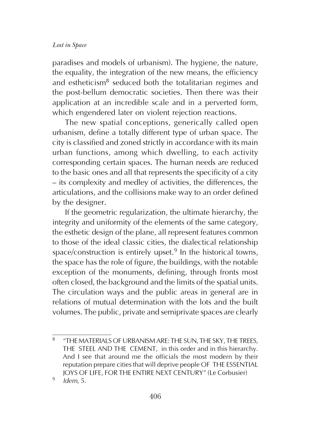paradises and models of urbanism). The hygiene, the nature, the equality, the integration of the new means, the efficiency and estheticism<sup>8</sup> seduced both the totalitarian regimes and the post-bellum democratic societies. Then there was their application at an incredible scale and in a perverted form, which engendered later on violent rejection reactions.

The new spatial conceptions, generically called open urbanism, define a totally different type of urban space. The city is classified and zoned strictly in accordance with its main urban functions, among which dwelling, to each activity corresponding certain spaces. The human needs are reduced to the basic ones and all that represents the specificity of a city – its complexity and medley of activities, the differences, the articulations, and the collisions make way to an order defined by the designer.

If the geometric regularization, the ultimate hierarchy, the integrity and uniformity of the elements of the same category, the esthetic design of the plane, all represent features common to those of the ideal classic cities, the dialectical relationship space/construction is entirely upset.<sup>9</sup> In the historical towns, the space has the role of figure, the buildings, with the notable exception of the monuments, defining, through fronts most often closed, the background and the limits of the spatial units. The circulation ways and the public areas in general are in relations of mutual determination with the lots and the built volumes. The public, private and semiprivate spaces are clearly

<sup>8</sup> "THE MATERIALS OF URBANISM ARE: THE SUN, THE SKY, THE TREES, THE STEEL AND THE CEMENT, in this order and in this hierarchy. And I see that around me the officials the most modern by their reputation prepare cities that will deprive people OF THE ESSENTIAL JOYS OF LIFE, FOR THE ENTIRE NEXT CENTURY" (Le Corbusier)

 $9$  Idem, 5.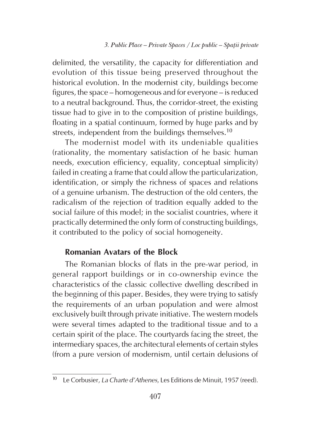delimited, the versatility, the capacity for differentiation and evolution of this tissue being preserved throughout the historical evolution. In the modernist city, buildings become figures, the space – homogeneous and for everyone – is reduced to a neutral background. Thus, the corridor-street, the existing tissue had to give in to the composition of pristine buildings, floating in a spatial continuum, formed by huge parks and by streets, independent from the buildings themselves.<sup>10</sup>

The modernist model with its undeniable qualities (rationality, the momentary satisfaction of he basic human needs, execution efficiency, equality, conceptual simplicity) failed in creating a frame that could allow the particularization, identification, or simply the richness of spaces and relations of a genuine urbanism. The destruction of the old centers, the radicalism of the rejection of tradition equally added to the social failure of this model; in the socialist countries, where it practically determined the only form of constructing buildings, it contributed to the policy of social homogeneity.

## Romanian Avatars of the Block

The Romanian blocks of flats in the pre-war period, in general rapport buildings or in co-ownership evince the characteristics of the classic collective dwelling described in the beginning of this paper. Besides, they were trying to satisfy the requirements of an urban population and were almost exclusively built through private initiative. The western models were several times adapted to the traditional tissue and to a certain spirit of the place. The courtyards facing the street, the intermediary spaces, the architectural elements of certain styles (from a pure version of modernism, until certain delusions of

Le Corbusier, La Charte d'Athenes, Les Editions de Minuit, 1957 (reed).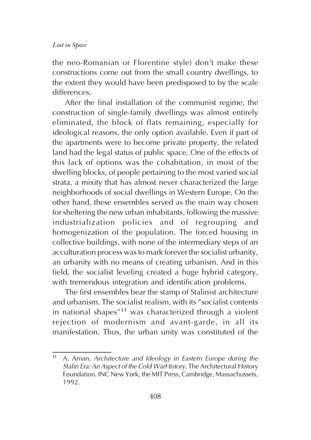the neo-Romanian or Florentine style) don't make these constructions come out from the small country dwellings, to the extent they would have been predisposed to by the scale differences.

After the final installation of the communist regime, the construction of single-family dwellings was almost entirely eliminated, the block of flats remaining, especially for ideological reasons, the only option available. Even if part of the apartments were to become private property, the related land had the legal status of public space. One of the effects of this lack of options was the cohabitation, in most of the dwelling blocks, of people pertaining to the most varied social strata, a mixity that has almost never characterized the large neighborhoods of social dwellings in Western Europe. On the other hand, these ensembles served as the main way chosen for sheltering the new urban inhabitants, following the massive industrialization policies and of regrouping and homogenization of the population. The forced housing in collective buildings, with none of the intermediary steps of an acculturation process was to mark forever the socialist urbanity, an urbanity with no means of creating urbanism. And in this field, the socialist leveling created a huge hybrid category, with tremendous integration and identification problems.

The first ensembles bear the stamp of Stalinist architecture and urbanism. The socialist realism, with its "socialist contents in national shapes"11 was characterized through a violent rejection of modernism and avant-garde, in all its manifestation. Thus, the urban unity was constituted of the

 $11$  A. Aman, Architecture and Ideology in Eastern Europe during the Stalin Era: An Aspect of the Cold WarHistory, The Architectural History Foundation. INC New York, the MIT Press, Cambridge, Massachussets, 1992.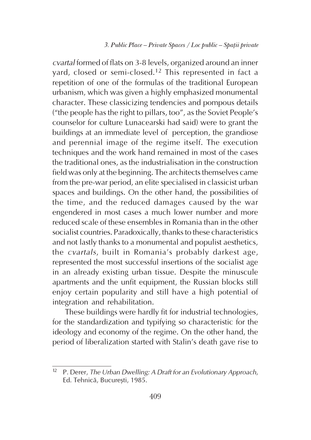## 3. Public Place – Private Spaces / Loc public – Spaþii private

cvartal formed of flats on 3-8 levels, organized around an inner yard, closed or semi-closed.12 This represented in fact a repetition of one of the formulas of the traditional European urbanism, which was given a highly emphasized monumental character. These classicizing tendencies and pompous details ("the people has the right to pillars, too", as the Soviet People's counselor for culture Lunacearski had said) were to grant the buildings at an immediate level of perception, the grandiose and perennial image of the regime itself. The execution techniques and the work hand remained in most of the cases the traditional ones, as the industrialisation in the construction field was only at the beginning. The architects themselves came from the pre-war period, an elite specialised in classicist urban spaces and buildings. On the other hand, the possibilities of the time, and the reduced damages caused by the war engendered in most cases a much lower number and more reduced scale of these ensembles in Romania than in the other socialist countries. Paradoxically, thanks to these characteristics and not lastly thanks to a monumental and populist aesthetics, the cvartals, built in Romania's probably darkest age, represented the most successful insertions of the socialist age in an already existing urban tissue. Despite the minuscule apartments and the unfit equipment, the Russian blocks still enjoy certain popularity and still have a high potential of integration and rehabilitation.

These buildings were hardly fit for industrial technologies, for the standardization and typifying so characteristic for the ideology and economy of the regime. On the other hand, the period of liberalization started with Stalin's death gave rise to

 $12$  P. Derer, The Urban Dwelling: A Draft for an Evolutionary Approach, Ed. Tehnică, București, 1985.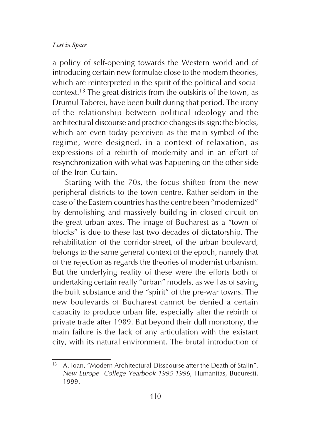a policy of self-opening towards the Western world and of introducing certain new formulae close to the modern theories, which are reinterpreted in the spirit of the political and social context.13 The great districts from the outskirts of the town, as Drumul Taberei, have been built during that period. The irony of the relationship between political ideology and the architectural discourse and practice changes its sign: the blocks, which are even today perceived as the main symbol of the regime, were designed, in a context of relaxation, as expressions of a rebirth of modernity and in an effort of resynchronization with what was happening on the other side of the Iron Curtain.

Starting with the 70s, the focus shifted from the new peripheral districts to the town centre. Rather seldom in the case of the Eastern countries has the centre been "modernized" by demolishing and massively building in closed circuit on the great urban axes. The image of Bucharest as a "town of blocks" is due to these last two decades of dictatorship. The rehabilitation of the corridor-street, of the urban boulevard, belongs to the same general context of the epoch, namely that of the rejection as regards the theories of modernist urbanism. But the underlying reality of these were the efforts both of undertaking certain really "urban" models, as well as of saving the built substance and the "spirit" of the pre-war towns. The new boulevards of Bucharest cannot be denied a certain capacity to produce urban life, especially after the rebirth of private trade after 1989. But beyond their dull monotony, the main failure is the lack of any articulation with the existant city, with its natural environment. The brutal introduction of

A. Ioan, "Modern Architectural Disscourse after the Death of Stalin", New Europe College Yearbook 1995-1996, Humanitas, București, 1999.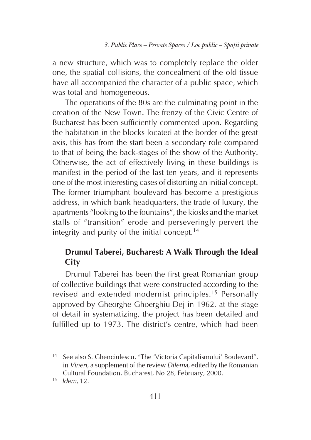a new structure, which was to completely replace the older one, the spatial collisions, the concealment of the old tissue have all accompanied the character of a public space, which was total and homogeneous.

The operations of the 80s are the culminating point in the creation of the New Town. The frenzy of the Civic Centre of Bucharest has been sufficiently commented upon. Regarding the habitation in the blocks located at the border of the great axis, this has from the start been a secondary role compared to that of being the back-stages of the show of the Authority. Otherwise, the act of effectively living in these buildings is manifest in the period of the last ten years, and it represents one of the most interesting cases of distorting an initial concept. The former triumphant boulevard has become a prestigious address, in which bank headquarters, the trade of luxury, the apartments "looking to the fountains", the kiosks and the market stalls of "transition" erode and perseveringly pervert the integrity and purity of the initial concept.<sup>14</sup>

## Drumul Taberei, Bucharest: A Walk Through the Ideal **City**

Drumul Taberei has been the first great Romanian group of collective buildings that were constructed according to the revised and extended modernist principles.15 Personally approved by Gheorghe Ghoerghiu-Dej in 1962, at the stage of detail in systematizing, the project has been detailed and fulfilled up to 1973. The district's centre, which had been

<sup>14</sup> See also S. Ghenciulescu, "The 'Victoria Capitalismului' Boulevard", in Vineri, a supplement of the review Dilema, edited by the Romanian Cultural Foundation, Bucharest, No 28, February, 2000.

 $15$  Idem, 12.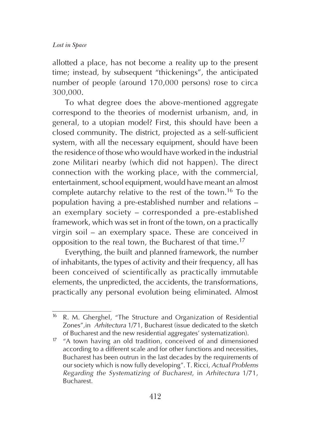allotted a place, has not become a reality up to the present time; instead, by subsequent "thickenings", the anticipated number of people (around 170,000 persons) rose to circa 300,000.

To what degree does the above-mentioned aggregate correspond to the theories of modernist urbanism, and, in general, to a utopian model? First, this should have been a closed community. The district, projected as a self-sufficient system, with all the necessary equipment, should have been the residence of those who would have worked in the industrial zone Militari nearby (which did not happen). The direct connection with the working place, with the commercial, entertainment, school equipment, would have meant an almost complete autarchy relative to the rest of the town.16 To the population having a pre-established number and relations – an exemplary society – corresponded a pre-established framework, which was set in front of the town, on a practically virgin soil – an exemplary space. These are conceived in opposition to the real town, the Bucharest of that time.<sup>17</sup>

Everything, the built and planned framework, the number of inhabitants, the types of activity and their frequency, all has been conceived of scientifically as practically immutable elements, the unpredicted, the accidents, the transformations, practically any personal evolution being eliminated. Almost

<sup>&</sup>lt;sup>16</sup> R. M. Gherghel, "The Structure and Organization of Residential Zones",in Arhitectura 1/71, Bucharest (issue dedicated to the sketch of Bucharest and the new residential aggregates' systematization).

 $17$  "A town having an old tradition, conceived of and dimensioned according to a different scale and for other functions and necessities, Bucharest has been outrun in the last decades by the requirements of our society which is now fully developing". T. Ricci, Actual Problems Regarding the Systematizing of Bucharest, in Arhitectura 1/71, Bucharest.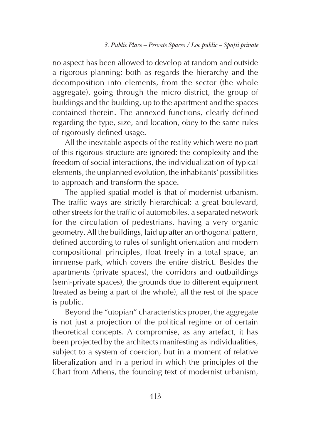no aspect has been allowed to develop at random and outside a rigorous planning; both as regards the hierarchy and the decomposition into elements, from the sector (the whole aggregate), going through the micro-district, the group of buildings and the building, up to the apartment and the spaces contained therein. The annexed functions, clearly defined regarding the type, size, and location, obey to the same rules of rigorously defined usage.

All the inevitable aspects of the reality which were no part of this rigorous structure are ignored: the complexity and the freedom of social interactions, the individualization of typical elements, the unplanned evolution, the inhabitants' possibilities to approach and transform the space.

The applied spatial model is that of modernist urbanism. The traffic ways are strictly hierarchical: a great boulevard, other streets for the traffic of automobiles, a separated network for the circulation of pedestrians, having a very organic geometry. All the buildings, laid up after an orthogonal pattern, defined according to rules of sunlight orientation and modern compositional principles, float freely in a total space, an immense park, which covers the entire district. Besides the apartments (private spaces), the corridors and outbuildings (semi-private spaces), the grounds due to different equipment (treated as being a part of the whole), all the rest of the space is public.

Beyond the "utopian" characteristics proper, the aggregate is not just a projection of the political regime or of certain theoretical concepts. A compromise, as any artefact, it has been projected by the architects manifesting as individualities, subject to a system of coercion, but in a moment of relative liberalization and in a period in which the principles of the Chart from Athens, the founding text of modernist urbanism,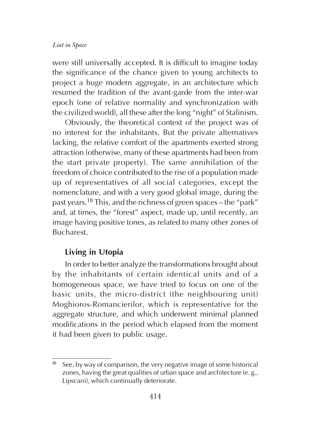were still universally accepted. It is difficult to imagine today the significance of the chance given to young architects to project a huge modern aggregate, in an architecture which resumed the tradition of the avant-garde from the inter-war epoch (one of relative normality and synchronization with the civilized world), all these after the long "night" of Stalinism.

Obviously, the theoretical context of the project was of no interest for the inhabitants. But the private alternatives lacking, the relative comfort of the apartments exerted strong attraction (otherwise, many of these apartments had been from the start private property). The same annihilation of the freedom of choice contributed to the rise of a population made up of representatives of all social categories, except the nomenclature, and with a very good global image, during the past years.18 This, and the richness of green spaces – the "park" and, at times, the "forest" aspect, made up, until recently, an image having positive tones, as related to many other zones of Bucharest.

## Living in Utopia

In order to better analyze the transformations brought about by the inhabitants of certain identical units and of a homogeneous space, we have tried to focus on one of the basic units, the micro-district (the neighbouring unit) Moghioros-Romancierilor, which is representative for the aggregate structure, and which underwent minimal planned modifications in the period which elapsed from the moment it had been given to public usage.

 $18$  See, by way of comparison, the very negative image of some historical zones, having the great qualities of urban space and architecture (e. g., Lipscani), which continually deteriorate.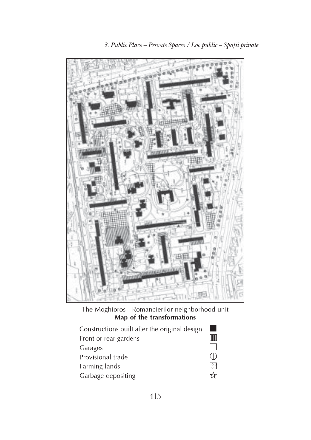

The Moghioroș - Romancierilor neighborhood unit Map of the transformations

| Constructions built after the original design |       |
|-----------------------------------------------|-------|
| Front or rear gardens                         |       |
| Garages                                       |       |
| Provisional trade                             | rilli |
| Farming lands                                 | KI    |
| Garbage depositing                            | YF    |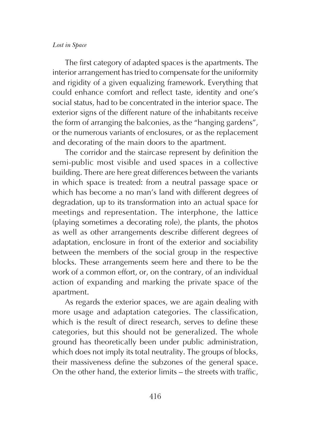The first category of adapted spaces is the apartments. The interior arrangement has tried to compensate for the uniformity and rigidity of a given equalizing framework. Everything that could enhance comfort and reflect taste, identity and one's social status, had to be concentrated in the interior space. The exterior signs of the different nature of the inhabitants receive the form of arranging the balconies, as the "hanging gardens", or the numerous variants of enclosures, or as the replacement and decorating of the main doors to the apartment.

The corridor and the staircase represent by definition the semi-public most visible and used spaces in a collective building. There are here great differences between the variants in which space is treated: from a neutral passage space or which has become a no man's land with different degrees of degradation, up to its transformation into an actual space for meetings and representation. The interphone, the lattice (playing sometimes a decorating role), the plants, the photos as well as other arrangements describe different degrees of adaptation, enclosure in front of the exterior and sociability between the members of the social group in the respective blocks. These arrangements seem here and there to be the work of a common effort, or, on the contrary, of an individual action of expanding and marking the private space of the apartment.

As regards the exterior spaces, we are again dealing with more usage and adaptation categories. The classification, which is the result of direct research, serves to define these categories, but this should not be generalized. The whole ground has theoretically been under public administration, which does not imply its total neutrality. The groups of blocks, their massiveness define the subzones of the general space. On the other hand, the exterior limits – the streets with traffic,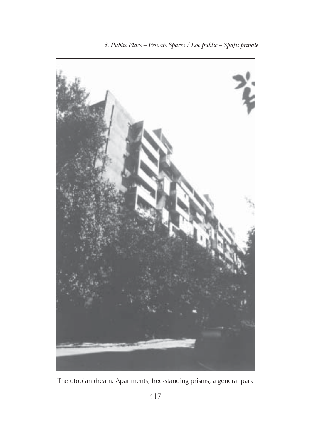

The utopian dream: Apartments, free-standing prisms, a general park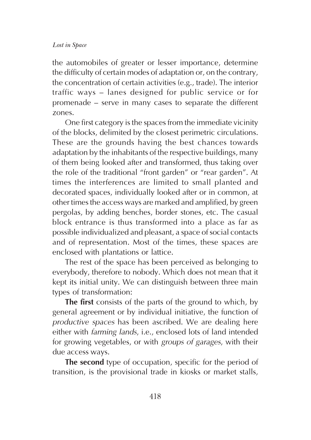the automobiles of greater or lesser importance, determine the difficulty of certain modes of adaptation or, on the contrary, the concentration of certain activities (e.g., trade). The interior traffic ways – lanes designed for public service or for promenade – serve in many cases to separate the different zones.

One first category is the spaces from the immediate vicinity of the blocks, delimited by the closest perimetric circulations. These are the grounds having the best chances towards adaptation by the inhabitants of the respective buildings, many of them being looked after and transformed, thus taking over the role of the traditional "front garden" or "rear garden". At times the interferences are limited to small planted and decorated spaces, individually looked after or in common, at other times the access ways are marked and amplified, by green pergolas, by adding benches, border stones, etc. The casual block entrance is thus transformed into a place as far as possible individualized and pleasant, a space of social contacts and of representation. Most of the times, these spaces are enclosed with plantations or lattice.

The rest of the space has been perceived as belonging to everybody, therefore to nobody. Which does not mean that it kept its initial unity. We can distinguish between three main types of transformation:

The first consists of the parts of the ground to which, by general agreement or by individual initiative, the function of productive spaces has been ascribed. We are dealing here either with farming lands, i.e., enclosed lots of land intended for growing vegetables, or with groups of garages, with their due access ways.

The second type of occupation, specific for the period of transition, is the provisional trade in kiosks or market stalls,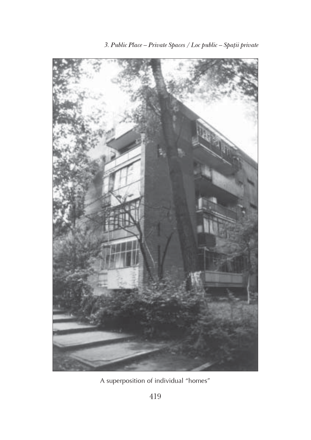

A superposition of individual "homes"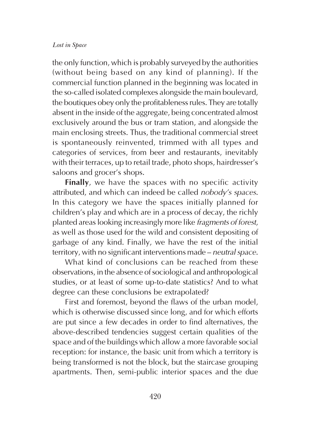the only function, which is probably surveyed by the authorities (without being based on any kind of planning). If the commercial function planned in the beginning was located in the so-called isolated complexes alongside the main boulevard, the boutiques obey only the profitableness rules. They are totally absent in the inside of the aggregate, being concentrated almost exclusively around the bus or tram station, and alongside the main enclosing streets. Thus, the traditional commercial street is spontaneously reinvented, trimmed with all types and categories of services, from beer and restaurants, inevitably with their terraces, up to retail trade, photo shops, hairdresser's saloons and grocer's shops.

Finally, we have the spaces with no specific activity attributed, and which can indeed be called nobody's spaces. In this category we have the spaces initially planned for children's play and which are in a process of decay, the richly planted areas looking increasingly more like fragments of forest, as well as those used for the wild and consistent depositing of garbage of any kind. Finally, we have the rest of the initial territory, with no significant interventions made – neutral space.

What kind of conclusions can be reached from these observations, in the absence of sociological and anthropological studies, or at least of some up-to-date statistics? And to what degree can these conclusions be extrapolated?

First and foremost, beyond the flaws of the urban model, which is otherwise discussed since long, and for which efforts are put since a few decades in order to find alternatives, the above-described tendencies suggest certain qualities of the space and of the buildings which allow a more favorable social reception: for instance, the basic unit from which a territory is being transformed is not the block, but the staircase grouping apartments. Then, semi-public interior spaces and the due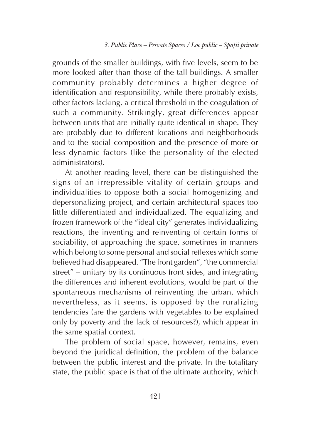grounds of the smaller buildings, with five levels, seem to be more looked after than those of the tall buildings. A smaller community probably determines a higher degree of identification and responsibility, while there probably exists, other factors lacking, a critical threshold in the coagulation of such a community. Strikingly, great differences appear between units that are initially quite identical in shape. They are probably due to different locations and neighborhoods and to the social composition and the presence of more or less dynamic factors (like the personality of the elected administrators).

At another reading level, there can be distinguished the signs of an irrepressible vitality of certain groups and individualities to oppose both a social homogenizing and depersonalizing project, and certain architectural spaces too little differentiated and individualized. The equalizing and frozen framework of the "ideal city" generates individualizing reactions, the inventing and reinventing of certain forms of sociability, of approaching the space, sometimes in manners which belong to some personal and social reflexes which some believed had disappeared. "The front garden", "the commercial street" – unitary by its continuous front sides, and integrating the differences and inherent evolutions, would be part of the spontaneous mechanisms of reinventing the urban, which nevertheless, as it seems, is opposed by the ruralizing tendencies (are the gardens with vegetables to be explained only by poverty and the lack of resources?), which appear in the same spatial context.

The problem of social space, however, remains, even beyond the juridical definition, the problem of the balance between the public interest and the private. In the totalitary state, the public space is that of the ultimate authority, which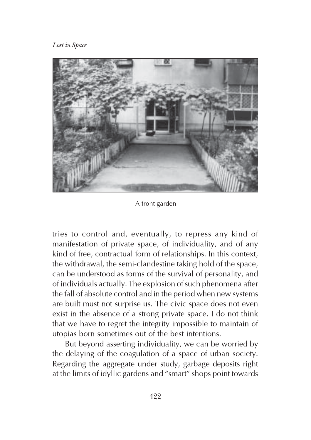

A front garden

tries to control and, eventually, to repress any kind of manifestation of private space, of individuality, and of any kind of free, contractual form of relationships. In this context, the withdrawal, the semi-clandestine taking hold of the space, can be understood as forms of the survival of personality, and of individuals actually. The explosion of such phenomena after the fall of absolute control and in the period when new systems are built must not surprise us. The civic space does not even exist in the absence of a strong private space. I do not think that we have to regret the integrity impossible to maintain of utopias born sometimes out of the best intentions.

But beyond asserting individuality, we can be worried by the delaying of the coagulation of a space of urban society. Regarding the aggregate under study, garbage deposits right at the limits of idyllic gardens and "smart" shops point towards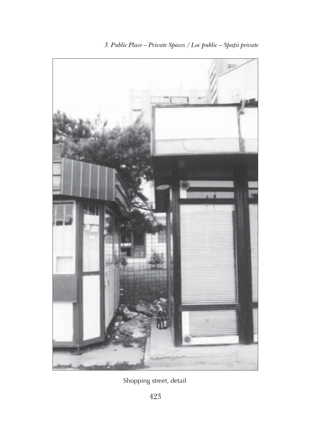

Shopping street, detail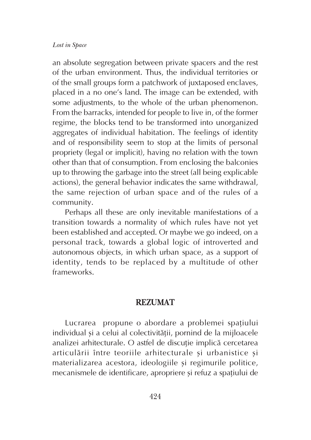an absolute segregation between private spacers and the rest of the urban environment. Thus, the individual territories or of the small groups form a patchwork of juxtaposed enclaves, placed in a no one's land. The image can be extended, with some adjustments, to the whole of the urban phenomenon. From the barracks, intended for people to live in, of the former regime, the blocks tend to be transformed into unorganized aggregates of individual habitation. The feelings of identity and of responsibility seem to stop at the limits of personal propriety (legal or implicit), having no relation with the town other than that of consumption. From enclosing the balconies up to throwing the garbage into the street (all being explicable actions), the general behavior indicates the same withdrawal, the same rejection of urban space and of the rules of a community.

Perhaps all these are only inevitable manifestations of a transition towards a normality of which rules have not yet been established and accepted. Or maybe we go indeed, on a personal track, towards a global logic of introverted and autonomous objects, in which urban space, as a support of identity, tends to be replaced by a multitude of other frameworks.

## REZUMAT

Lucrarea propune o abordare a problemei spatiului individual și a celui al colectivității, pornind de la mijloacele analizei arhitecturale. O astfel de discuție implică cercetarea articulării între teoriile arhitecturale și urbanistice și materializarea acestora, ideologiile și regimurile politice, mecanismele de identificare, apropriere si refuz a spatiului de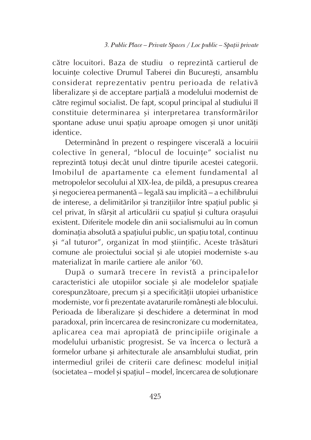cãtre locuitori. Baza de studiu o reprezintã cartierul de locuinte colective Drumul Taberei din Bucuresti, ansamblu considerat reprezentativ pentru perioada de relativã liberalizare și de acceptare parțială a modelului modernist de cãtre regimul socialist. De fapt, scopul principal al studiului îl constituie determinarea și interpretarea transformărilor spontane aduse unui spatiu aproape omogen și unor unități identice.

Determinând în prezent o respingere visceralã a locuirii colective în general, "blocul de locuințe" socialist nu reprezintă totuși decât unul dintre tipurile acestei categorii. Imobilul de apartamente ca element fundamental al metropolelor secolului al XIX-lea, de pildã, a presupus crearea si negocierea permanentă – legală sau implicită – a echilibrului de interese, a delimitărilor și tranzițiilor între spațiul public și cel privat, în sfârșit al articulării cu spațiul și cultura orașului existent. Diferitele modele din anii socialismului au în comun dominația absolută a spațiului public, un spațiu total, continuu si "al tuturor", organizat în mod stiințific. Aceste trăsături comune ale proiectului social și ale utopiei moderniste s-au materializat în marile cartiere ale anilor '60.

Dupã o sumarã trecere în revistã a principalelor caracteristici ale utopiilor sociale și ale modelelor spațiale corespunzătoare, precum și a specificității utopiei urbanistice moderniste, vor fi prezentate avatarurile românesti ale blocului. Perioada de liberalizare și deschidere a determinat în mod paradoxal, prin încercarea de resincronizare cu modernitatea, aplicarea cea mai apropiatã de principiile originale a modelului urbanistic progresist. Se va încerca o lecturã a formelor urbane și arhitecturale ale ansamblului studiat, prin intermediul grilei de criterii care definesc modelul inițial (societatea – model și spațiul – model, încercarea de soluționare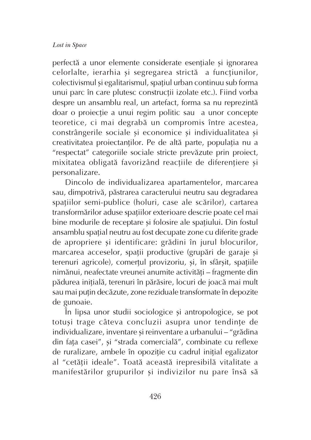perfectă a unor elemente considerate esențiale și ignorarea celorlalte, ierarhia și segregarea strictă a funcțiunilor, colectivismul și egalitarismul, spațiul urban continuu sub forma unui parc în care plutesc construcții izolate etc.). Fiind vorba despre un ansamblu real, un artefact, forma sa nu reprezintã doar o proiecție a unui regim politic sau a unor concepte teoretice, ci mai degrabã un compromis între acestea, constrângerile sociale și economice și individualitatea și creativitatea proiectanților. Pe de altă parte, populația nu a "respectat" categoriile sociale stricte prevãzute prin proiect, mixitatea obligată favorizând reacțiile de diferențiere și personalizare.

Dincolo de individualizarea apartamentelor, marcarea sau, dimpotrivã, pãstrarea caracterului neutru sau degradarea spațiilor semi-publice (holuri, case ale scărilor), cartarea transformårilor aduse spatiilor exterioare descrie poate cel mai bine modurile de receptare și folosire ale spațiului. Din fostul ansamblu spatial neutru au fost decupate zone cu diferite grade de apropriere și identificare: grădini în jurul blocurilor, marcarea acceselor, spații productive (grupări de garaje și terenuri agricole), comertul provizoriu, și, în sfârșit, spațiile nimănui, neafectate vreunei anumite activități – fragmente din pădurea inițială, terenuri în părăsire, locuri de joacă mai mult sau mai puțin decăzute, zone reziduale transformate în depozite de gunoaie.

În lipsa unor studii sociologice și antropologice, se pot totuși trage câteva concluzii asupra unor tendințe de individualizare, inventare și reinventare a urbanului – "grădina din fața casei", și "strada comercială", combinate cu reflexe de ruralizare, ambele în opoziție cu cadrul inițial egalizator al "cetății ideale". Toată această irepresibilă vitalitate a manifestărilor grupurilor și indivizilor nu pare însă să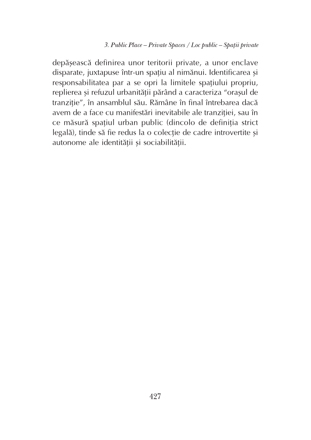depășească definirea unor teritorii private, a unor enclave disparate, juxtapuse într-un spațiu al nimănui. Identificarea și responsabilitatea par a se opri la limitele spațiului propriu, replierea și refuzul urbanității părând a caracteriza "orașul de tranziție", în ansamblul său. Rămâne în final întrebarea dacă avem de a face cu manifestări inevitabile ale tranziției, sau în ce măsură spațiul urban public (dincolo de definiția strict legală), tinde să fie redus la o colecție de cadre introvertite și autonome ale identității și sociabilității.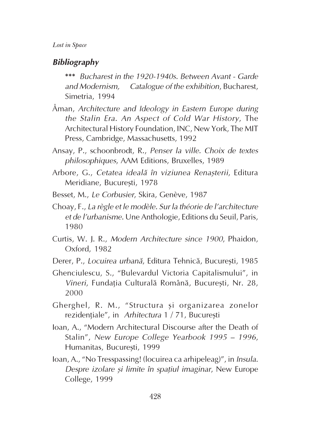## **Bibliography**

\*\*\* Bucharest in the 1920-1940s. Between Avant - Garde and Modernism, Catalogue of the exhibition, Bucharest, Simetria, 1994

- Åman, Architecture and Ideology in Eastern Europe during the Stalin Era. An Aspect of Cold War History, The Architectural History Foundation, INC, New York, The MIT Press, Cambridge, Massachusetts, 1992
- Ansay, P., schoonbrodt, R., Penser la ville. Choix de textes philosophiques, AAM Editions, Bruxelles, 1989
- Arbore, G., Cetatea ideală în viziunea Renasterii, Editura Meridiane, Bucuresti, 1978
- Besset, M., Le Corbusier, Skira, Genève, 1987
- Choay, F., La règle et le modèle. Sur la théorie de l'architecture et de l'urbanisme. Une Anthologie, Editions du Seuil, Paris, 1980
- Curtis, W. J. R., Modern Architecture since 1900, Phaidon, Oxford, 1982
- Derer, P., Locuirea urbană, Editura Tehnică, București, 1985
- Ghenciulescu, S., "Bulevardul Victoria Capitalismului", in Vineri, Fundatia Culturală Română, Bucuresti, Nr. 28, 2000
- Gherghel, R. M., "Structura și organizarea zonelor rezidentiale", in Arhitectura  $1 / 71$ , Bucuresti
- Ioan, A., "Modern Architectural Discourse after the Death of Stalin", New Europe College Yearbook 1995 – 1996, Humanitas, București, 1999
- Ioan, A., "No Tresspassing! (locuirea ca arhipeleag)", in Insula. Despre izolare și limite în spațiul imaginar, New Europe College, 1999